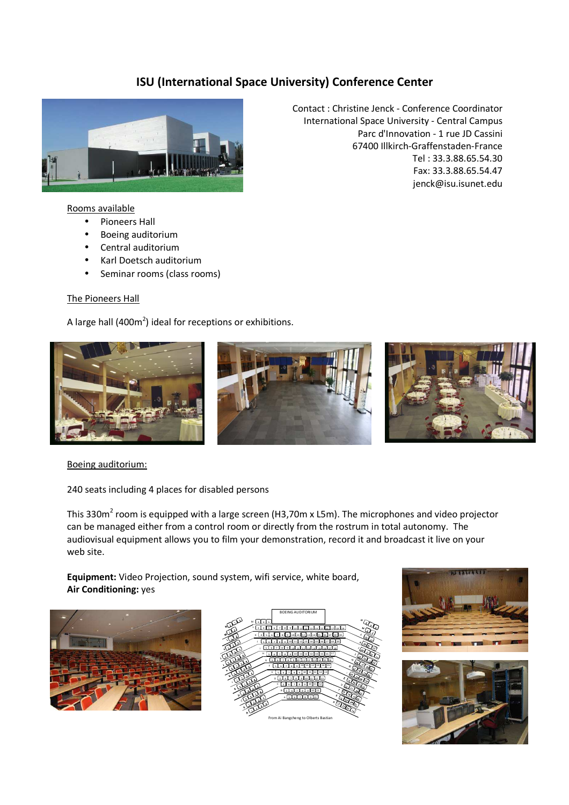# ISU (International Space University) Conference Center



#### Rooms available

- Pioneers Hall
- Boeing auditorium
- Central auditorium
- Karl Doetsch auditorium
- Seminar rooms (class rooms)

### The Pioneers Hall

A large hall (400 $m^2$ ) ideal for receptions or exhibitions.

Contact : Christine Jenck - Conference Coordinator International Space University - Central Campus Parc d'Innovation - 1 rue JD Cassini 67400 Illkirch-Graffenstaden-France Tel : 33.3.88.65.54.30 Fax: 33.3.88.65.54.47 jenck@isu.isunet.edu



# Boeing auditorium:

240 seats including 4 places for disabled persons

This 330m<sup>2</sup> room is equipped with a large screen (H3,70m x L5m). The microphones and video projector can be managed either from a control room or directly from the rostrum in total autonomy. The audiovisual equipment allows you to film your demonstration, record it and broadcast it live on your web site.

Equipment: Video Projection, sound system, wifi service, white board, Air Conditioning: yes